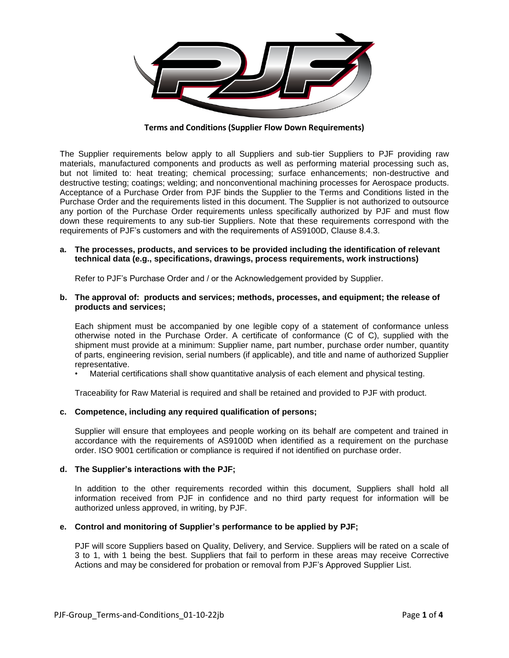

**Terms and Conditions (Supplier Flow Down Requirements)**

The Supplier requirements below apply to all Suppliers and sub-tier Suppliers to PJF providing raw materials, manufactured components and products as well as performing material processing such as, but not limited to: heat treating; chemical processing; surface enhancements; non-destructive and destructive testing; coatings; welding; and nonconventional machining processes for Aerospace products. Acceptance of a Purchase Order from PJF binds the Supplier to the Terms and Conditions listed in the Purchase Order and the requirements listed in this document. The Supplier is not authorized to outsource any portion of the Purchase Order requirements unless specifically authorized by PJF and must flow down these requirements to any sub-tier Suppliers. Note that these requirements correspond with the requirements of PJF's customers and with the requirements of AS9100D, Clause 8.4.3.

### **a. The processes, products, and services to be provided including the identification of relevant technical data (e.g., specifications, drawings, process requirements, work instructions)**

Refer to PJF's Purchase Order and / or the Acknowledgement provided by Supplier.

#### **b. The approval of: products and services; methods, processes, and equipment; the release of products and services;**

Each shipment must be accompanied by one legible copy of a statement of conformance unless otherwise noted in the Purchase Order. A certificate of conformance (C of C), supplied with the shipment must provide at a minimum: Supplier name, part number, purchase order number, quantity of parts, engineering revision, serial numbers (if applicable), and title and name of authorized Supplier representative.

• Material certifications shall show quantitative analysis of each element and physical testing.

Traceability for Raw Material is required and shall be retained and provided to PJF with product.

## **c. Competence, including any required qualification of persons;**

Supplier will ensure that employees and people working on its behalf are competent and trained in accordance with the requirements of AS9100D when identified as a requirement on the purchase order. ISO 9001 certification or compliance is required if not identified on purchase order.

#### **d. The Supplier's interactions with the PJF;**

In addition to the other requirements recorded within this document, Suppliers shall hold all information received from PJF in confidence and no third party request for information will be authorized unless approved, in writing, by PJF.

#### **e. Control and monitoring of Supplier's performance to be applied by PJF;**

PJF will score Suppliers based on Quality, Delivery, and Service. Suppliers will be rated on a scale of 3 to 1, with 1 being the best. Suppliers that fail to perform in these areas may receive Corrective Actions and may be considered for probation or removal from PJF's Approved Supplier List.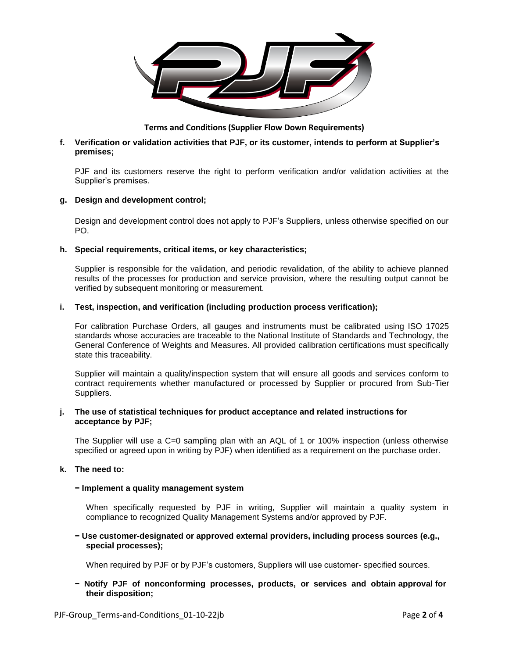

**Terms and Conditions (Supplier Flow Down Requirements)**

# **f. Verification or validation activities that PJF, or its customer, intends to perform at Supplier's premises;**

PJF and its customers reserve the right to perform verification and/or validation activities at the Supplier's premises.

## **g. Design and development control;**

Design and development control does not apply to PJF's Suppliers, unless otherwise specified on our PO.

## **h. Special requirements, critical items, or key characteristics;**

Supplier is responsible for the validation, and periodic revalidation, of the ability to achieve planned results of the processes for production and service provision, where the resulting output cannot be verified by subsequent monitoring or measurement.

## **i. Test, inspection, and verification (including production process verification);**

For calibration Purchase Orders, all gauges and instruments must be calibrated using ISO 17025 standards whose accuracies are traceable to the National Institute of Standards and Technology, the General Conference of Weights and Measures. All provided calibration certifications must specifically state this traceability.

Supplier will maintain a quality/inspection system that will ensure all goods and services conform to contract requirements whether manufactured or processed by Supplier or procured from Sub-Tier Suppliers.

### **j. The use of statistical techniques for product acceptance and related instructions for acceptance by PJF;**

The Supplier will use a C=0 sampling plan with an AQL of 1 or 100% inspection (unless otherwise specified or agreed upon in writing by PJF) when identified as a requirement on the purchase order.

## **k. The need to:**

## **− Implement a quality management system**

When specifically requested by PJF in writing, Supplier will maintain a quality system in compliance to recognized Quality Management Systems and/or approved by PJF.

## **− Use customer-designated or approved external providers, including process sources (e.g., special processes);**

When required by PJF or by PJF's customers, Suppliers will use customer- specified sources.

# **− Notify PJF of nonconforming processes, products, or services and obtain approval for their disposition;**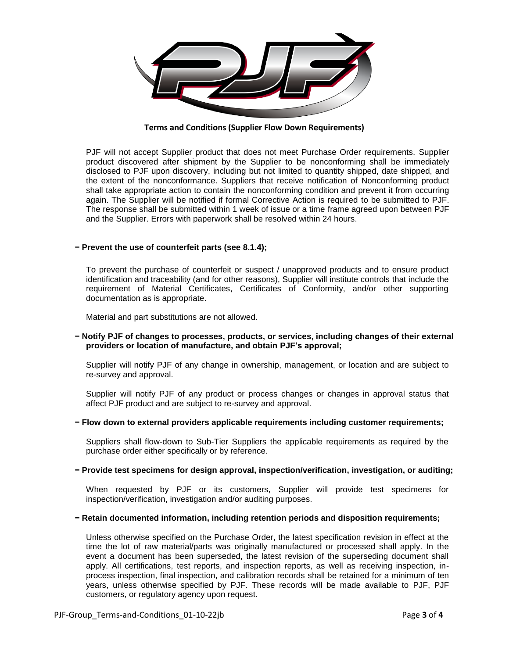

**Terms and Conditions (Supplier Flow Down Requirements)**

PJF will not accept Supplier product that does not meet Purchase Order requirements. Supplier product discovered after shipment by the Supplier to be nonconforming shall be immediately disclosed to PJF upon discovery, including but not limited to quantity shipped, date shipped, and the extent of the nonconformance. Suppliers that receive notification of Nonconforming product shall take appropriate action to contain the nonconforming condition and prevent it from occurring again. The Supplier will be notified if formal Corrective Action is required to be submitted to PJF. The response shall be submitted within 1 week of issue or a time frame agreed upon between PJF and the Supplier. Errors with paperwork shall be resolved within 24 hours.

#### **− Prevent the use of counterfeit parts (see 8.1.4);**

To prevent the purchase of counterfeit or suspect / unapproved products and to ensure product identification and traceability (and for other reasons), Supplier will institute controls that include the requirement of Material Certificates, Certificates of Conformity, and/or other supporting documentation as is appropriate.

Material and part substitutions are not allowed.

## **− Notify PJF of changes to processes, products, or services, including changes of their external providers or location of manufacture, and obtain PJF's approval;**

Supplier will notify PJF of any change in ownership, management, or location and are subject to re-survey and approval.

Supplier will notify PJF of any product or process changes or changes in approval status that affect PJF product and are subject to re-survey and approval.

### **− Flow down to external providers applicable requirements including customer requirements;**

Suppliers shall flow-down to Sub-Tier Suppliers the applicable requirements as required by the purchase order either specifically or by reference.

## **− Provide test specimens for design approval, inspection/verification, investigation, or auditing;**

When requested by PJF or its customers, Supplier will provide test specimens for inspection/verification, investigation and/or auditing purposes.

#### **− Retain documented information, including retention periods and disposition requirements;**

Unless otherwise specified on the Purchase Order, the latest specification revision in effect at the time the lot of raw material/parts was originally manufactured or processed shall apply. In the event a document has been superseded, the latest revision of the superseding document shall apply. All certifications, test reports, and inspection reports, as well as receiving inspection, inprocess inspection, final inspection, and calibration records shall be retained for a minimum of ten years, unless otherwise specified by PJF. These records will be made available to PJF, PJF customers, or regulatory agency upon request.